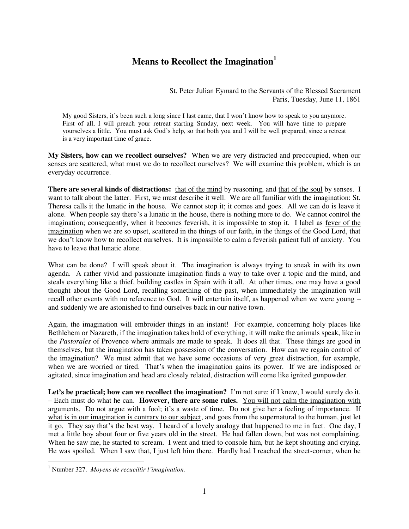## **Means to Recollect the Imagination<sup>1</sup>**

St. Peter Julian Eymard to the Servants of the Blessed Sacrament Paris, Tuesday, June 11, 1861

My good Sisters, it's been such a long since I last came, that I won't know how to speak to you anymore. First of all, I will preach your retreat starting Sunday, next week. You will have time to prepare yourselves a little. You must ask God's help, so that both you and I will be well prepared, since a retreat is a very important time of grace.

**My Sisters, how can we recollect ourselves?** When we are very distracted and preoccupied, when our senses are scattered, what must we do to recollect ourselves? We will examine this problem, which is an everyday occurrence.

**There are several kinds of distractions:** that of the mind by reasoning, and that of the soul by senses. I want to talk about the latter. First, we must describe it well. We are all familiar with the imagination: St. Theresa calls it the lunatic in the house. We cannot stop it; it comes and goes. All we can do is leave it alone. When people say there's a lunatic in the house, there is nothing more to do. We cannot control the imagination; consequently, when it becomes feverish, it is impossible to stop it. I label as fever of the imagination when we are so upset, scattered in the things of our faith, in the things of the Good Lord, that we don't know how to recollect ourselves. It is impossible to calm a feverish patient full of anxiety. You have to leave that lunatic alone.

What can be done? I will speak about it. The imagination is always trying to sneak in with its own agenda. A rather vivid and passionate imagination finds a way to take over a topic and the mind, and steals everything like a thief, building castles in Spain with it all. At other times, one may have a good thought about the Good Lord, recalling something of the past, when immediately the imagination will recall other events with no reference to God. It will entertain itself, as happened when we were young – and suddenly we are astonished to find ourselves back in our native town.

Again, the imagination will embroider things in an instant! For example, concerning holy places like Bethlehem or Nazareth, if the imagination takes hold of everything, it will make the animals speak, like in the *Pastorales* of Provence where animals are made to speak. It does all that. These things are good in themselves, but the imagination has taken possession of the conversation. How can we regain control of the imagination? We must admit that we have some occasions of very great distraction, for example, when we are worried or tired. That's when the imagination gains its power. If we are indisposed or agitated, since imagination and head are closely related, distraction will come like ignited gunpowder.

**Let's be practical; how can we recollect the imagination?** I'm not sure: if I knew, I would surely do it. – Each must do what he can. **However, there are some rules.** You will not calm the imagination with arguments. Do not argue with a fool; it's a waste of time. Do not give her a feeling of importance. If what is in our imagination is contrary to our subject, and goes from the supernatural to the human, just let it go. They say that's the best way. I heard of a lovely analogy that happened to me in fact. One day, I met a little boy about four or five years old in the street. He had fallen down, but was not complaining. When he saw me, he started to scream. I went and tried to console him, but he kept shouting and crying. He was spoiled. When I saw that, I just left him there. Hardly had I reached the street-corner, when he

 1 Number 327. *Moyens de recueillir l'imagination.*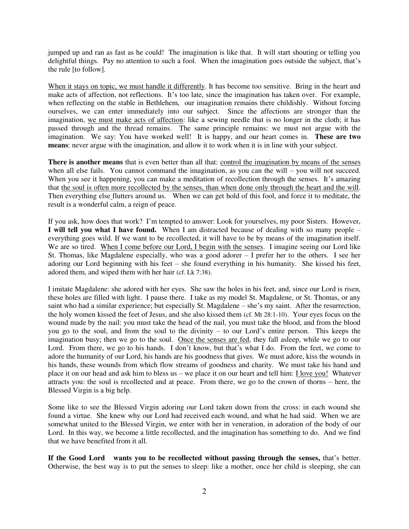jumped up and ran as fast as he could! The imagination is like that. It will start shouting or telling you delightful things. Pay no attention to such a fool. When the imagination goes outside the subject, that's the rule [to follow].

When it stays on topic, we must handle it differently. It has become too sensitive. Bring in the heart and make acts of affection, not reflections. It's too late, since the imagination has taken over. For example, when reflecting on the stable in Bethlehem, our imagination remains there childishly. Without forcing ourselves, we can enter immediately into our subject. Since the affections are stronger than the imagination, we must make acts of affection: like a sewing needle that is no longer in the cloth; it has passed through and the thread remains. The same principle remains: we must not argue with the imagination. We say: You have worked well! It is happy, and our heart comes in. **These are two means**: never argue with the imagination, and allow it to work when it is in line with your subject.

**There is another means** that is even better than all that: control the imagination by means of the senses when all else fails. You cannot command the imagination, as you can the will – you will not succeed. When you see it happening, you can make a meditation of recollection through the senses. It's amazing that the soul is often more recollected by the senses, than when done only through the heart and the will. Then everything else flutters around us. When we can get hold of this fool, and force it to meditate, the result is a wonderful calm, a reign of peace.

If you ask, how does that work? I'm tempted to answer: Look for yourselves, my poor Sisters. However, **I will tell you what I have found.** When I am distracted because of dealing with so many people – everything goes wild. If we want to be recollected, it will have to be by means of the imagination itself. We are so tired. When I come before our Lord, I begin with the senses. I imagine seeing our Lord like St. Thomas, like Magdalene especially, who was a good adorer – I prefer her to the others. I see her adoring our Lord beginning with his feet – she found everything in his humanity. She kissed his feet, adored them, and wiped them with her hair (cf. Lk 7:38).

I imitate Magdalene: she adored with her eyes. She saw the holes in his feet, and, since our Lord is risen, these holes are filled with light. I pause there. I take as my model St. Magdalene, or St. Thomas, or any saint who had a similar experience; but especially St. Magdalene – she's my saint. After the resurrection, the holy women kissed the feet of Jesus, and she also kissed them (cf. Mt 28:1-10). Your eyes focus on the wound made by the nail: you must take the head of the nail, you must take the blood, and from the blood you go to the soul, and from the soul to the divinity – to our Lord's entire person. This keeps the imagination busy; then we go to the soul. Once the senses are fed, they fall asleep, while we go to our Lord. From there, we go to his hands. I don't know, but that's what I do. From the feet, we come to adore the humanity of our Lord, his hands are his goodness that gives. We must adore, kiss the wounds in his hands, these wounds from which flow streams of goodness and charity. We must take his hand and place it on our head and ask him to bless us – we place it on our heart and tell him: I love you! Whatever attracts you: the soul is recollected and at peace. From there, we go to the crown of thorns – here, the Blessed Virgin is a big help.

Some like to see the Blessed Virgin adoring our Lord taken down from the cross: in each wound she found a virtue. She knew why our Lord had received each wound, and what he had said. When we are somewhat united to the Blessed Virgin, we enter with her in veneration, in adoration of the body of our Lord. In this way, we become a little recollected, and the imagination has something to do. And we find that we have benefited from it all.

**If the Good Lord wants you to be recollected without passing through the senses,** that's better. Otherwise, the best way is to put the senses to sleep: like a mother, once her child is sleeping, she can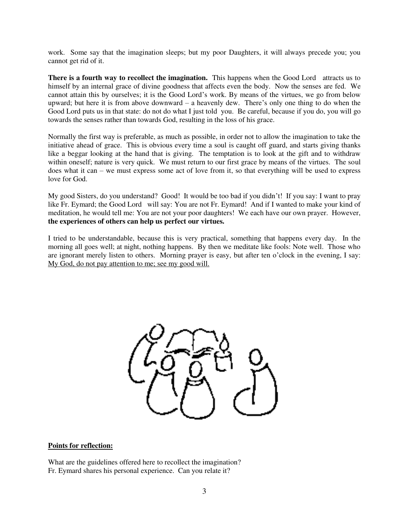work. Some say that the imagination sleeps; but my poor Daughters, it will always precede you; you cannot get rid of it.

**There is a fourth way to recollect the imagination.** This happens when the Good Lord attracts us to himself by an internal grace of divine goodness that affects even the body. Now the senses are fed. We cannot attain this by ourselves; it is the Good Lord's work. By means of the virtues, we go from below upward; but here it is from above downward – a heavenly dew. There's only one thing to do when the Good Lord puts us in that state: do not do what I just told you. Be careful, because if you do, you will go towards the senses rather than towards God, resulting in the loss of his grace.

Normally the first way is preferable, as much as possible, in order not to allow the imagination to take the initiative ahead of grace. This is obvious every time a soul is caught off guard, and starts giving thanks like a beggar looking at the hand that is giving. The temptation is to look at the gift and to withdraw within oneself; nature is very quick. We must return to our first grace by means of the virtues. The soul does what it can – we must express some act of love from it, so that everything will be used to express love for God.

My good Sisters, do you understand? Good! It would be too bad if you didn't! If you say: I want to pray like Fr. Eymard; the Good Lord will say: You are not Fr. Eymard! And if I wanted to make your kind of meditation, he would tell me: You are not your poor daughters! We each have our own prayer. However, **the experiences of others can help us perfect our virtues.** 

I tried to be understandable, because this is very practical, something that happens every day. In the morning all goes well; at night, nothing happens. By then we meditate like fools: Note well. Those who are ignorant merely listen to others. Morning prayer is easy, but after ten o'clock in the evening, I say: My God, do not pay attention to me; see my good will.



## **Points for reflection:**

What are the guidelines offered here to recollect the imagination? Fr. Eymard shares his personal experience. Can you relate it?